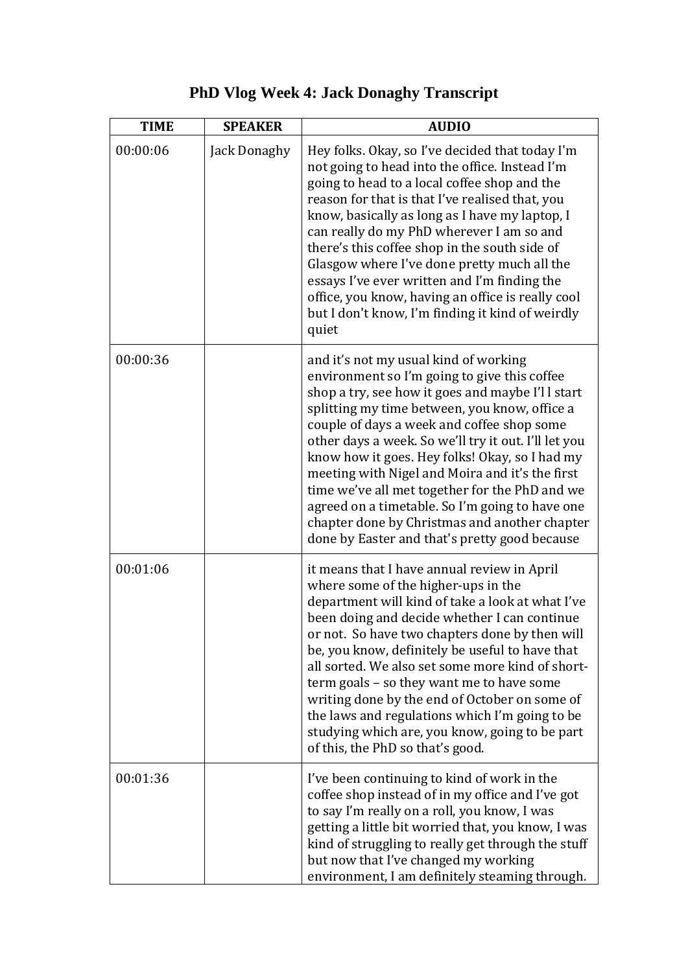| <b>TIME</b> | <b>SPEAKER</b> | <b>AUDIO</b>                                                                                                                                                                                                                                                                                                                                                                                                                                                                                                                                                                                                 |
|-------------|----------------|--------------------------------------------------------------------------------------------------------------------------------------------------------------------------------------------------------------------------------------------------------------------------------------------------------------------------------------------------------------------------------------------------------------------------------------------------------------------------------------------------------------------------------------------------------------------------------------------------------------|
| 00:00:06    | Jack Donaghy   | Hey folks. Okay, so I've decided that today I'm<br>not going to head into the office. Instead I'm<br>going to head to a local coffee shop and the<br>reason for that is that I've realised that, you<br>know, basically as long as I have my laptop, I<br>can really do my PhD wherever I am so and<br>there's this coffee shop in the south side of<br>Glasgow where I've done pretty much all the<br>essays I've ever written and I'm finding the<br>office, you know, having an office is really cool<br>but I don't know, I'm finding it kind of weirdly<br>quiet                                        |
| 00:00:36    |                | and it's not my usual kind of working<br>environment so I'm going to give this coffee<br>shop a try, see how it goes and maybe I'll start<br>splitting my time between, you know, office a<br>couple of days a week and coffee shop some<br>other days a week. So we'll try it out. I'll let you<br>know how it goes. Hey folks! Okay, so I had my<br>meeting with Nigel and Moira and it's the first<br>time we've all met together for the PhD and we<br>agreed on a timetable. So I'm going to have one<br>chapter done by Christmas and another chapter<br>done by Easter and that's pretty good because |
| 00:01:06    |                | it means that I have annual review in April<br>where some of the higher-ups in the<br>department will kind of take a look at what I've<br>been doing and decide whether I can continue<br>or not. So have two chapters done by then will<br>be, you know, definitely be useful to have that<br>all sorted. We also set some more kind of short-<br>term goals – so they want me to have some<br>writing done by the end of October on some of<br>the laws and regulations which I'm going to be<br>studying which are, you know, going to be part<br>of this, the PhD so that's good.                        |
| 00:01:36    |                | I've been continuing to kind of work in the<br>coffee shop instead of in my office and I've got<br>to say I'm really on a roll, you know, I was<br>getting a little bit worried that, you know, I was<br>kind of struggling to really get through the stuff<br>but now that I've changed my working<br>environment, I am definitely steaming through.                                                                                                                                                                                                                                                        |

## **PhD Vlog Week 4: Jack Donaghy Transcript**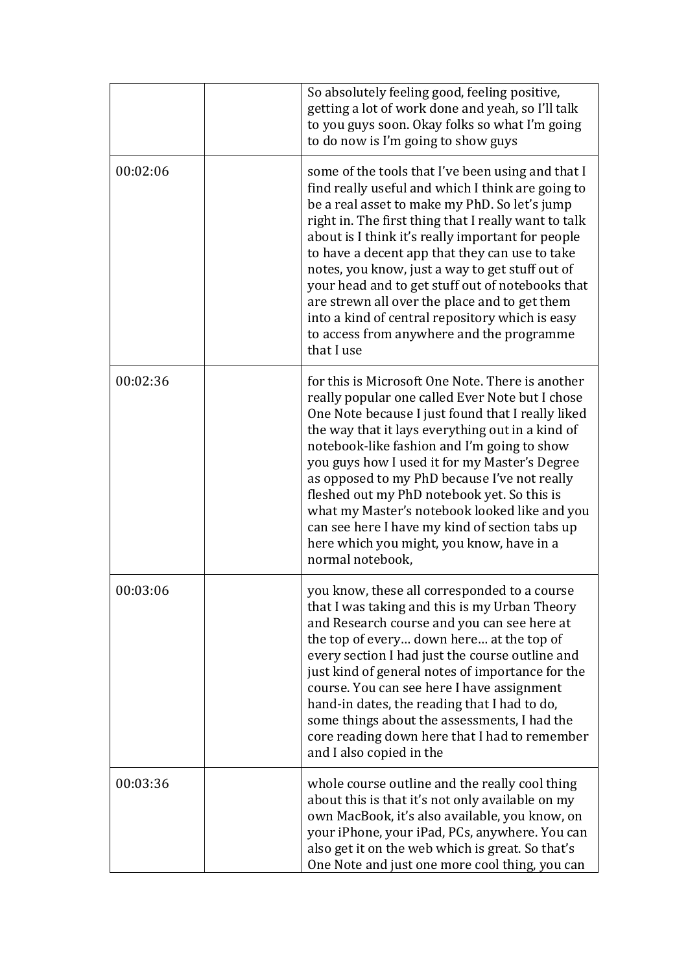|          | So absolutely feeling good, feeling positive,<br>getting a lot of work done and yeah, so I'll talk<br>to you guys soon. Okay folks so what I'm going<br>to do now is I'm going to show guys                                                                                                                                                                                                                                                                                                                                                                                                  |
|----------|----------------------------------------------------------------------------------------------------------------------------------------------------------------------------------------------------------------------------------------------------------------------------------------------------------------------------------------------------------------------------------------------------------------------------------------------------------------------------------------------------------------------------------------------------------------------------------------------|
| 00:02:06 | some of the tools that I've been using and that I<br>find really useful and which I think are going to<br>be a real asset to make my PhD. So let's jump<br>right in. The first thing that I really want to talk<br>about is I think it's really important for people<br>to have a decent app that they can use to take<br>notes, you know, just a way to get stuff out of<br>your head and to get stuff out of notebooks that<br>are strewn all over the place and to get them<br>into a kind of central repository which is easy<br>to access from anywhere and the programme<br>that I use |
| 00:02:36 | for this is Microsoft One Note. There is another<br>really popular one called Ever Note but I chose<br>One Note because I just found that I really liked<br>the way that it lays everything out in a kind of<br>notebook-like fashion and I'm going to show<br>you guys how I used it for my Master's Degree<br>as opposed to my PhD because I've not really<br>fleshed out my PhD notebook yet. So this is<br>what my Master's notebook looked like and you<br>can see here I have my kind of section tabs up<br>here which you might, you know, have in a<br>normal notebook,              |
| 00:03:06 | you know, these all corresponded to a course<br>that I was taking and this is my Urban Theory<br>and Research course and you can see here at<br>the top of every down here at the top of<br>every section I had just the course outline and<br>just kind of general notes of importance for the<br>course. You can see here I have assignment<br>hand-in dates, the reading that I had to do,<br>some things about the assessments, I had the<br>core reading down here that I had to remember<br>and I also copied in the                                                                   |
| 00:03:36 | whole course outline and the really cool thing<br>about this is that it's not only available on my<br>own MacBook, it's also available, you know, on<br>your iPhone, your iPad, PCs, anywhere. You can<br>also get it on the web which is great. So that's<br>One Note and just one more cool thing, you can                                                                                                                                                                                                                                                                                 |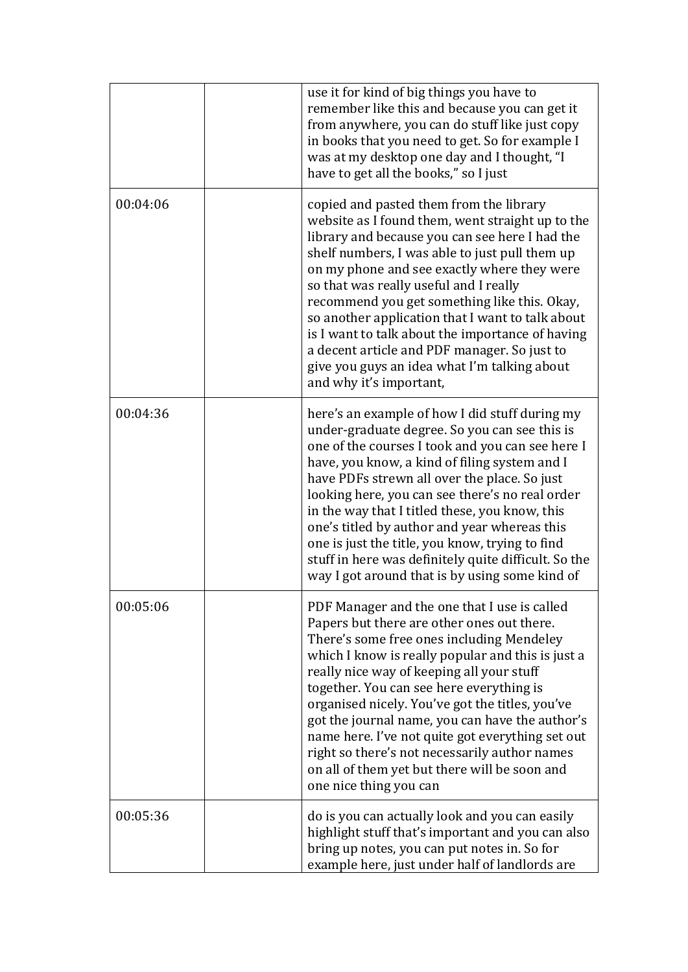|          | use it for kind of big things you have to<br>remember like this and because you can get it<br>from anywhere, you can do stuff like just copy<br>in books that you need to get. So for example I<br>was at my desktop one day and I thought, "I<br>have to get all the books," so I just                                                                                                                                                                                                                                                                                     |
|----------|-----------------------------------------------------------------------------------------------------------------------------------------------------------------------------------------------------------------------------------------------------------------------------------------------------------------------------------------------------------------------------------------------------------------------------------------------------------------------------------------------------------------------------------------------------------------------------|
| 00:04:06 | copied and pasted them from the library<br>website as I found them, went straight up to the<br>library and because you can see here I had the<br>shelf numbers, I was able to just pull them up<br>on my phone and see exactly where they were<br>so that was really useful and I really<br>recommend you get something like this. Okay,<br>so another application that I want to talk about<br>is I want to talk about the importance of having<br>a decent article and PDF manager. So just to<br>give you guys an idea what I'm talking about<br>and why it's important, |
| 00:04:36 | here's an example of how I did stuff during my<br>under-graduate degree. So you can see this is<br>one of the courses I took and you can see here I<br>have, you know, a kind of filing system and I<br>have PDFs strewn all over the place. So just<br>looking here, you can see there's no real order<br>in the way that I titled these, you know, this<br>one's titled by author and year whereas this<br>one is just the title, you know, trying to find<br>stuff in here was definitely quite difficult. So the<br>way I got around that is by using some kind of      |
| 00:05:06 | PDF Manager and the one that I use is called<br>Papers but there are other ones out there.<br>There's some free ones including Mendeley<br>which I know is really popular and this is just a<br>really nice way of keeping all your stuff<br>together. You can see here everything is<br>organised nicely. You've got the titles, you've<br>got the journal name, you can have the author's<br>name here. I've not quite got everything set out<br>right so there's not necessarily author names<br>on all of them yet but there will be soon and<br>one nice thing you can |
| 00:05:36 | do is you can actually look and you can easily<br>highlight stuff that's important and you can also<br>bring up notes, you can put notes in. So for<br>example here, just under half of landlords are                                                                                                                                                                                                                                                                                                                                                                       |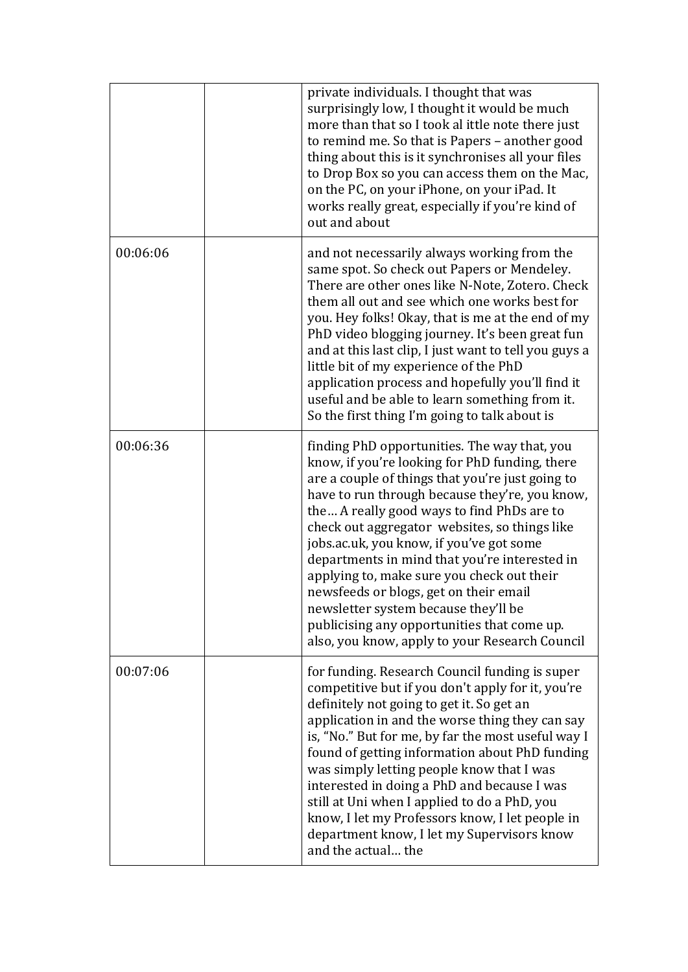|          | private individuals. I thought that was<br>surprisingly low, I thought it would be much<br>more than that so I took al ittle note there just<br>to remind me. So that is Papers - another good<br>thing about this is it synchronises all your files<br>to Drop Box so you can access them on the Mac,<br>on the PC, on your iPhone, on your iPad. It<br>works really great, especially if you're kind of<br>out and about                                                                                                                                                                                                        |
|----------|-----------------------------------------------------------------------------------------------------------------------------------------------------------------------------------------------------------------------------------------------------------------------------------------------------------------------------------------------------------------------------------------------------------------------------------------------------------------------------------------------------------------------------------------------------------------------------------------------------------------------------------|
| 00:06:06 | and not necessarily always working from the<br>same spot. So check out Papers or Mendeley.<br>There are other ones like N-Note, Zotero. Check<br>them all out and see which one works best for<br>you. Hey folks! Okay, that is me at the end of my<br>PhD video blogging journey. It's been great fun<br>and at this last clip, I just want to tell you guys a<br>little bit of my experience of the PhD<br>application process and hopefully you'll find it<br>useful and be able to learn something from it.<br>So the first thing I'm going to talk about is                                                                  |
| 00:06:36 | finding PhD opportunities. The way that, you<br>know, if you're looking for PhD funding, there<br>are a couple of things that you're just going to<br>have to run through because they're, you know,<br>the A really good ways to find PhDs are to<br>check out aggregator websites, so things like<br>jobs.ac.uk, you know, if you've got some<br>departments in mind that you're interested in<br>applying to, make sure you check out their<br>newsfeeds or blogs, get on their email<br>newsletter system because they'll be<br>publicising any opportunities that come up.<br>also, you know, apply to your Research Council |
| 00:07:06 | for funding. Research Council funding is super<br>competitive but if you don't apply for it, you're<br>definitely not going to get it. So get an<br>application in and the worse thing they can say<br>is, "No." But for me, by far the most useful way I<br>found of getting information about PhD funding<br>was simply letting people know that I was<br>interested in doing a PhD and because I was<br>still at Uni when I applied to do a PhD, you<br>know, I let my Professors know, I let people in<br>department know, I let my Supervisors know<br>and the actual the                                                    |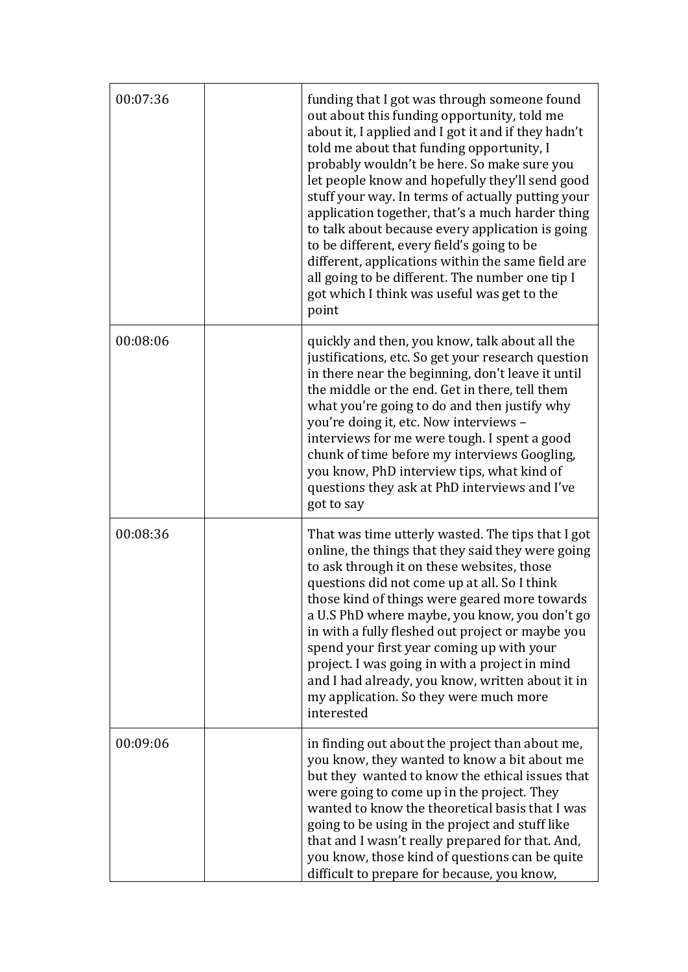| 00:07:36 | funding that I got was through someone found<br>out about this funding opportunity, told me<br>about it, I applied and I got it and if they hadn't<br>told me about that funding opportunity, I<br>probably wouldn't be here. So make sure you<br>let people know and hopefully they'll send good<br>stuff your way. In terms of actually putting your<br>application together, that's a much harder thing<br>to talk about because every application is going<br>to be different, every field's going to be<br>different, applications within the same field are<br>all going to be different. The number one tip I<br>got which I think was useful was get to the<br>point |
|----------|------------------------------------------------------------------------------------------------------------------------------------------------------------------------------------------------------------------------------------------------------------------------------------------------------------------------------------------------------------------------------------------------------------------------------------------------------------------------------------------------------------------------------------------------------------------------------------------------------------------------------------------------------------------------------|
| 00:08:06 | quickly and then, you know, talk about all the<br>justifications, etc. So get your research question<br>in there near the beginning, don't leave it until<br>the middle or the end. Get in there, tell them<br>what you're going to do and then justify why<br>you're doing it, etc. Now interviews -<br>interviews for me were tough. I spent a good<br>chunk of time before my interviews Googling,<br>you know, PhD interview tips, what kind of<br>questions they ask at PhD interviews and I've<br>got to say                                                                                                                                                           |
| 00:08:36 | That was time utterly wasted. The tips that I got<br>online, the things that they said they were going<br>to ask through it on these websites, those<br>questions did not come up at all. So I think<br>those kind of things were geared more towards<br>a U.S PhD where maybe, you know, you don't go<br>in with a fully fleshed out project or maybe you<br>spend your first year coming up with your<br>project. I was going in with a project in mind<br>and I had already, you know, written about it in<br>my application. So they were much more<br>interested                                                                                                        |
| 00:09:06 | in finding out about the project than about me,<br>you know, they wanted to know a bit about me<br>but they wanted to know the ethical issues that<br>were going to come up in the project. They<br>wanted to know the theoretical basis that I was<br>going to be using in the project and stuff like<br>that and I wasn't really prepared for that. And,<br>you know, those kind of questions can be quite<br>difficult to prepare for because, you know,                                                                                                                                                                                                                  |